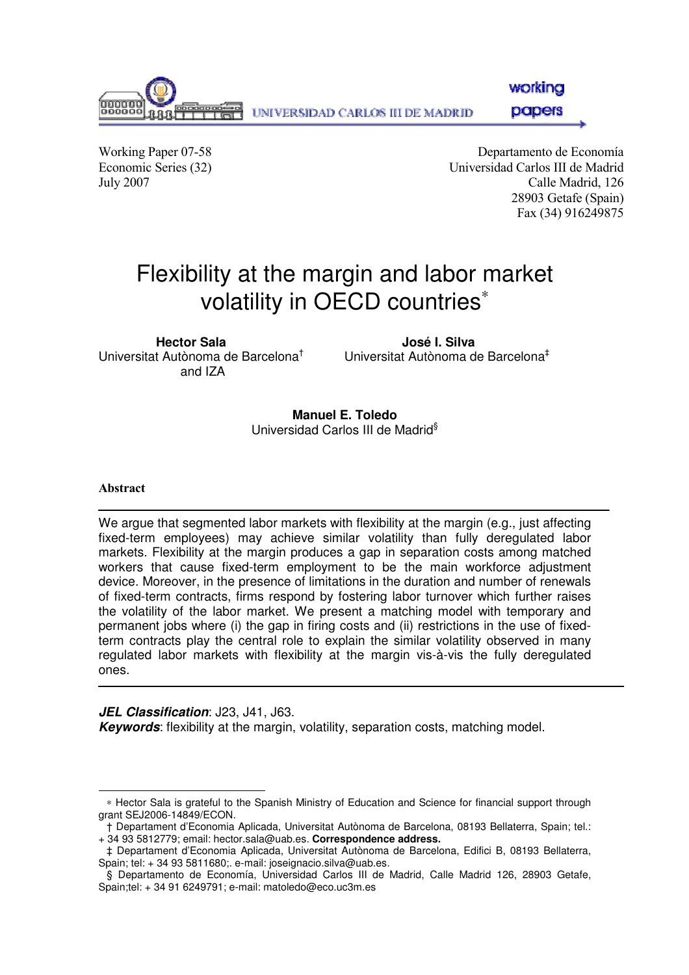

workina

papers

Working Paper 07-58 Departamento de Economía Economic Series (32) Universidad Carlos III de Madrid July 2007 Calle Madrid, 126 28903 Getafe (Spain) Fax (34) 916249875

# Flexibility at the margin and labor market volatility in OECD countries<sup>\*</sup>

**Hector Sala José I. Silva**  Universitat Autònoma de Barcelona† and IZA

Universitat Autònoma de Barcelona‡

**Manuel E. Toledo**  Universidad Carlos III de Madrid§

#### Abstract

j

We argue that segmented labor markets with flexibility at the margin (e.g., just affecting fixed-term employees) may achieve similar volatility than fully deregulated labor markets. Flexibility at the margin produces a gap in separation costs among matched workers that cause fixed-term employment to be the main workforce adjustment device. Moreover, in the presence of limitations in the duration and number of renewals of fixed-term contracts, firms respond by fostering labor turnover which further raises the volatility of the labor market. We present a matching model with temporary and permanent jobs where (i) the gap in firing costs and (ii) restrictions in the use of fixedterm contracts play the central role to explain the similar volatility observed in many regulated labor markets with flexibility at the margin vis-à-vis the fully deregulated ones.

**JEL Classification**: J23, J41, J63.

**Keywords**: flexibility at the margin, volatility, separation costs, matching model.

<sup>∗</sup> Hector Sala is grateful to the Spanish Ministry of Education and Science for financial support through grant SEJ2006-14849/ECON.

<sup>†</sup> Departament d'Economia Aplicada, Universitat Autònoma de Barcelona, 08193 Bellaterra, Spain; tel.: + 34 93 5812779; email: hector.sala@uab.es. **Correspondence address.**

<sup>‡</sup> Departament d'Economia Aplicada, Universitat Autònoma de Barcelona, Edifici B, 08193 Bellaterra, Spain; tel: + 34 93 5811680;. e-mail: joseignacio.silva@uab.es.

<sup>§</sup> Departamento de Economía, Universidad Carlos III de Madrid, Calle Madrid 126, 28903 Getafe, Spain;tel: + 34 91 6249791; e-mail: matoledo@eco.uc3m.es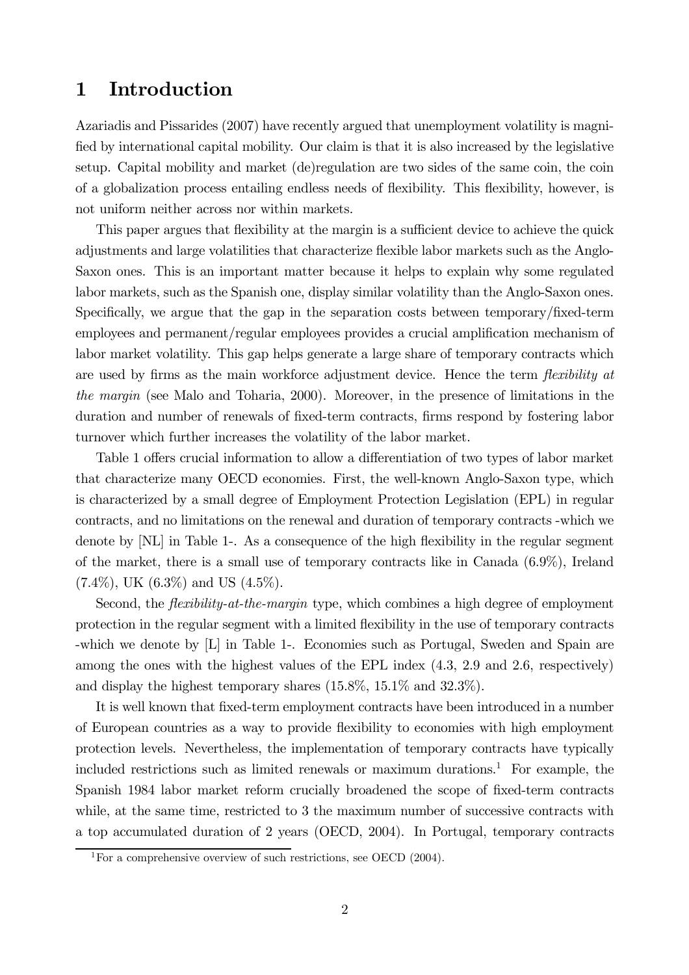#### 1 Introduction

Azariadis and Pissarides (2007) have recently argued that unemployment volatility is magnified by international capital mobility. Our claim is that it is also increased by the legislative setup. Capital mobility and market (de)regulation are two sides of the same coin, the coin of a globalization process entailing endless needs of flexibility. This flexibility, however, is not uniform neither across nor within markets.

This paper argues that flexibility at the margin is a sufficient device to achieve the quick adjustments and large volatilities that characterize flexible labor markets such as the Anglo-Saxon ones. This is an important matter because it helps to explain why some regulated labor markets, such as the Spanish one, display similar volatility than the Anglo-Saxon ones. Specifically, we argue that the gap in the separation costs between temporary/fixed-term employees and permanent/regular employees provides a crucial amplification mechanism of labor market volatility. This gap helps generate a large share of temporary contracts which are used by firms as the main workforce adjustment device. Hence the term *flexibility at* the margin (see Malo and Toharia, 2000). Moreover, in the presence of limitations in the duration and number of renewals of fixed-term contracts, firms respond by fostering labor turnover which further increases the volatility of the labor market.

Table 1 offers crucial information to allow a differentiation of two types of labor market that characterize many OECD economies. First, the well-known Anglo-Saxon type, which is characterized by a small degree of Employment Protection Legislation (EPL) in regular contracts, and no limitations on the renewal and duration of temporary contracts -which we denote by [NL] in Table 1-. As a consequence of the high flexibility in the regular segment of the market, there is a small use of temporary contracts like in Canada (6.9%), Ireland  $(7.4\%)$ , UK  $(6.3\%)$  and US  $(4.5\%)$ .

Second, the *flexibility-at-the-margin* type, which combines a high degree of employment protection in the regular segment with a limited flexibility in the use of temporary contracts -which we denote by [L] in Table 1-. Economies such as Portugal, Sweden and Spain are among the ones with the highest values of the EPL index  $(4.3, 2.9, \text{and } 2.6, \text{ respectively})$ and display the highest temporary shares (15.8%, 15.1% and 32.3%).

It is well known that fixed-term employment contracts have been introduced in a number of European countries as a way to provide flexibility to economies with high employment protection levels. Nevertheless, the implementation of temporary contracts have typically included restrictions such as limited renewals or maximum durations.<sup>1</sup> For example, the Spanish 1984 labor market reform crucially broadened the scope of fixed-term contracts while, at the same time, restricted to 3 the maximum number of successive contracts with a top accumulated duration of 2 years (OECD, 2004). In Portugal, temporary contracts

 $1$ For a comprehensive overview of such restrictions, see OECD (2004).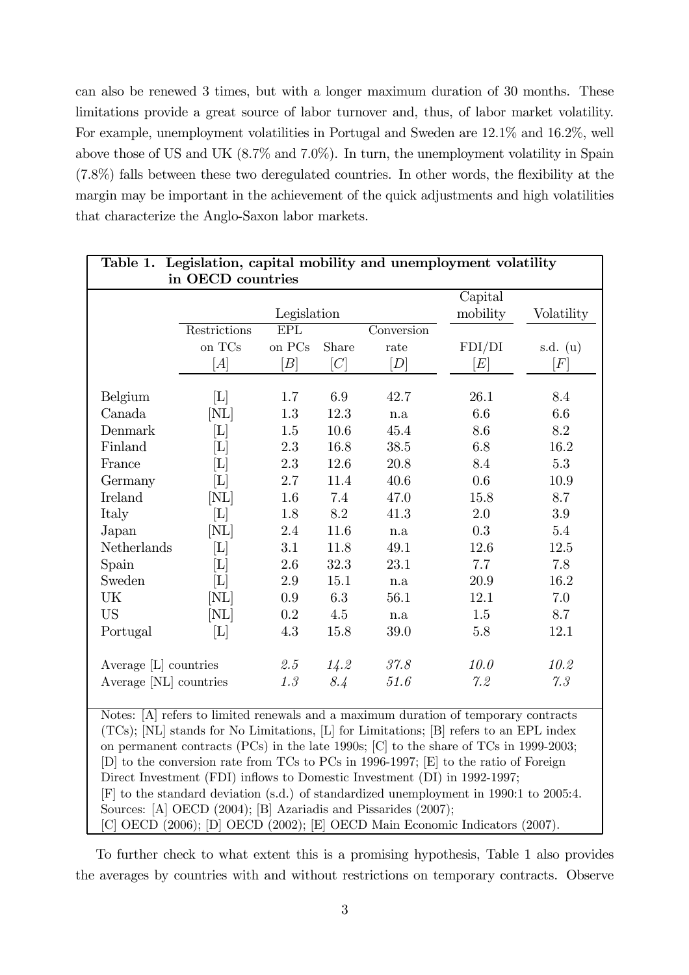can also be renewed 3 times, but with a longer maximum duration of 30 months. These limitations provide a great source of labor turnover and, thus, of labor market volatility. For example, unemployment volatilities in Portugal and Sweden are 12.1% and 16.2%, well above those of US and UK (8.7% and 7.0%). In turn, the unemployment volatility in Spain (7.8%) falls between these two deregulated countries. In other words, the flexibility at the margin may be important in the achievement of the quick adjustments and high volatilities that characterize the Anglo-Saxon labor markets.

| Table 1. Legislation, capital mobility and unemployment volatility                 |                             |             |                  |            |                       |                  |
|------------------------------------------------------------------------------------|-----------------------------|-------------|------------------|------------|-----------------------|------------------|
| in OECD countries                                                                  |                             |             |                  |            |                       |                  |
|                                                                                    |                             |             |                  |            | Capital               |                  |
|                                                                                    |                             | Legislation |                  |            | mobility              | Volatility       |
|                                                                                    | Restrictions                | EPL         |                  | Conversion |                       |                  |
|                                                                                    | on TCs                      | on PCs      | Share            | rate       | FDI/DI                | s.d. $(u)$       |
|                                                                                    | [A]                         | [B]         | $ \overline{C} $ | [D]        | $\left. E\right\vert$ | $\left F\right $ |
|                                                                                    |                             |             |                  |            |                       |                  |
| Belgium                                                                            | [L]                         | 1.7         | 6.9              | 42.7       | 26.1                  | 8.4              |
| Canada                                                                             | [NL]                        | 1.3         | 12.3             | n.a        | $6.6\,$               | 6.6              |
| Denmark                                                                            | $\left[ \Gamma \right]$     | $1.5\,$     | $10.6\,$         | 45.4       | 8.6                   | 8.2              |
| Finland                                                                            | [L]                         | 2.3         | 16.8             | 38.5       | 6.8                   | 16.2             |
| France                                                                             | $\left[ \mathrm{L} \right]$ | 2.3         | 12.6             | 20.8       | 8.4                   | 5.3              |
| Germany                                                                            | [L]                         | 2.7         | 11.4             | 40.6       | 0.6                   | 10.9             |
| <b>Ireland</b>                                                                     | [NL]                        | 1.6         | 7.4              | 47.0       | 15.8                  | 8.7              |
| Italy                                                                              | $\left[ \mathrm{L} \right]$ | 1.8         | 8.2              | 41.3       | $2.0\,$               | 3.9              |
| Japan                                                                              | [NL]                        | 2.4         | 11.6             | n.a        | 0.3                   | 5.4              |
| Netherlands                                                                        | $\left[ \mathrm{L} \right]$ | 3.1         | 11.8             | 49.1       | 12.6                  | 12.5             |
| Spain                                                                              | $\left[ \mathrm{L} \right]$ | 2.6         | 32.3             | 23.1       | 7.7                   | 7.8              |
| Sweden                                                                             | $\left[ \mathrm{L} \right]$ | 2.9         | 15.1             | n.a        | 20.9                  | 16.2             |
| UK                                                                                 | $[{\rm NL}]$                | 0.9         | 6.3              | 56.1       | 12.1                  | 7.0              |
| <b>US</b>                                                                          | $[\mathrm{NL}]$             | 0.2         | 4.5              | n.a        | 1.5                   | 8.7              |
| Portugal                                                                           | $[\mathrm{L}]$              | 4.3         | 15.8             | 39.0       | 5.8                   | 12.1             |
|                                                                                    |                             |             |                  |            |                       |                  |
| Average [L] countries                                                              |                             | $2.5\,$     | 14.2             | 37.8       | 10.0                  | 10.2             |
| Average [NL] countries                                                             |                             | 1.3         | 8.4              | $51.6\,$   | 7.2                   | 7.3              |
| Notes: (A) refers to limited repogne and a maximum duration of temperany contracts |                             |             |                  |            |                       |                  |

Notes: [A] refers to limited renewals and a maximum duration of temporary contracts (TCs); [NL] stands for No Limitations, [L] for Limitations; [B] refers to an EPL index on permanent contracts (PCs) in the late 1990s; [C] to the share of TCs in 1999-2003; [D] to the conversion rate from TCs to PCs in 1996-1997; [E] to the ratio of Foreign Direct Investment (FDI) inflows to Domestic Investment (DI) in 1992-1997; [F] to the standard deviation (s.d.) of standardized unemployment in 1990:1 to 2005:4. Sources: [A] OECD (2004); [B] Azariadis and Pissarides (2007); [C] OECD (2006); [D] OECD (2002); [E] OECD Main Economic Indicators (2007).

To further check to what extent this is a promising hypothesis, Table 1 also provides the averages by countries with and without restrictions on temporary contracts. Observe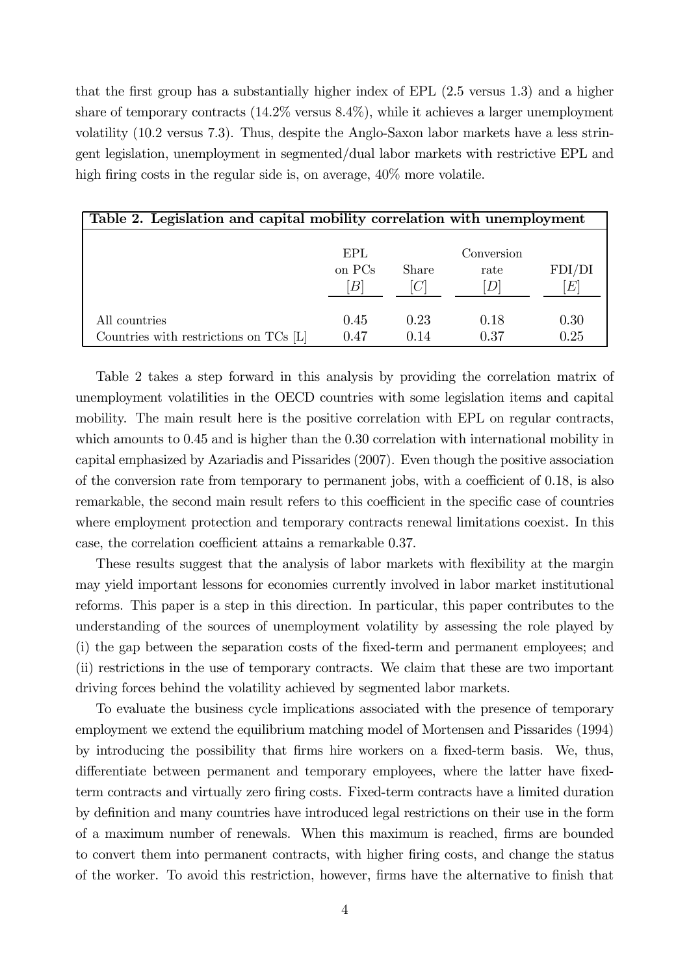that the first group has a substantially higher index of EPL (2.5 versus 1.3) and a higher share of temporary contracts  $(14.2\%$  versus  $8.4\%)$ , while it achieves a larger unemployment volatility (10.2 versus 7.3). Thus, despite the Anglo-Saxon labor markets have a less stringent legislation, unemployment in segmented/dual labor markets with restrictive EPL and high firing costs in the regular side is, on average,  $40\%$  more volatile.

| Table 2. Legislation and capital mobility correlation with unemployment |                                 |              |                         |              |
|-------------------------------------------------------------------------|---------------------------------|--------------|-------------------------|--------------|
|                                                                         | EPL<br>on PCs<br>$\overline{B}$ | Share        | Conversion<br>rate<br>D | FDI/DI<br>E  |
| All countries<br>Countries with restrictions on TCs [L]                 | 0.45<br>0.47                    | 0.23<br>0.14 | 0.18<br>0.37            | 0.30<br>0.25 |

Table 2 takes a step forward in this analysis by providing the correlation matrix of unemployment volatilities in the OECD countries with some legislation items and capital mobility. The main result here is the positive correlation with EPL on regular contracts, which amounts to  $0.45$  and is higher than the  $0.30$  correlation with international mobility in capital emphasized by Azariadis and Pissarides (2007). Even though the positive association of the conversion rate from temporary to permanent jobs, with a coefficient of 0.18, is also remarkable, the second main result refers to this coefficient in the specific case of countries where employment protection and temporary contracts renewal limitations coexist. In this case, the correlation coefficient attains a remarkable 0.37.

These results suggest that the analysis of labor markets with flexibility at the margin may yield important lessons for economies currently involved in labor market institutional reforms. This paper is a step in this direction. In particular, this paper contributes to the understanding of the sources of unemployment volatility by assessing the role played by (i) the gap between the separation costs of the fixed-term and permanent employees; and (ii) restrictions in the use of temporary contracts. We claim that these are two important driving forces behind the volatility achieved by segmented labor markets.

To evaluate the business cycle implications associated with the presence of temporary employment we extend the equilibrium matching model of Mortensen and Pissarides (1994) by introducing the possibility that firms hire workers on a fixed-term basis. We, thus, differentiate between permanent and temporary employees, where the latter have fixedterm contracts and virtually zero firing costs. Fixed-term contracts have a limited duration by definition and many countries have introduced legal restrictions on their use in the form of a maximum number of renewals. When this maximum is reached, firms are bounded to convert them into permanent contracts, with higher firing costs, and change the status of the worker. To avoid this restriction, however, firms have the alternative to finish that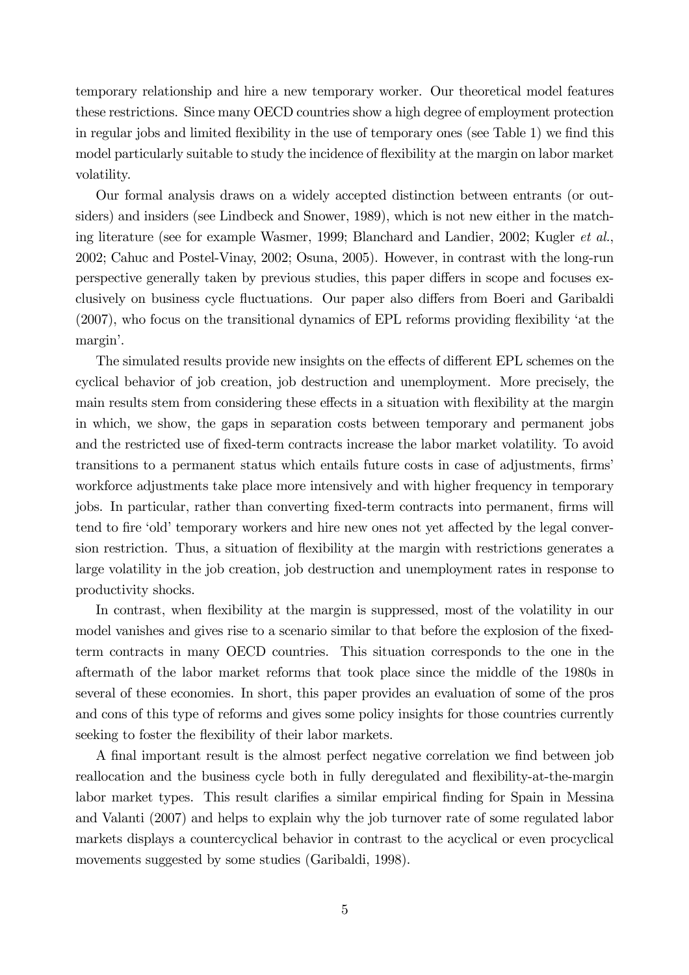temporary relationship and hire a new temporary worker. Our theoretical model features these restrictions. Since many OECD countries show a high degree of employment protection in regular jobs and limited flexibility in the use of temporary ones (see Table 1) we find this model particularly suitable to study the incidence of flexibility at the margin on labor market volatility.

Our formal analysis draws on a widely accepted distinction between entrants (or outsiders) and insiders (see Lindbeck and Snower, 1989), which is not new either in the matching literature (see for example Wasmer, 1999; Blanchard and Landier, 2002; Kugler et al., 2002; Cahuc and Postel-Vinay, 2002; Osuna, 2005). However, in contrast with the long-run perspective generally taken by previous studies, this paper differs in scope and focuses exclusively on business cycle fluctuations. Our paper also differs from Boeri and Garibaldi (2007), who focus on the transitional dynamics of EPL reforms providing flexibility 'at the margin'.

The simulated results provide new insights on the effects of different EPL schemes on the cyclical behavior of job creation, job destruction and unemployment. More precisely, the main results stem from considering these effects in a situation with flexibility at the margin in which, we show, the gaps in separation costs between temporary and permanent jobs and the restricted use of fixed-term contracts increase the labor market volatility. To avoid transitions to a permanent status which entails future costs in case of adjustments, firms' workforce adjustments take place more intensively and with higher frequency in temporary jobs. In particular, rather than converting fixed-term contracts into permanent, firms will tend to fire 'old' temporary workers and hire new ones not yet affected by the legal conversion restriction. Thus, a situation of flexibility at the margin with restrictions generates a large volatility in the job creation, job destruction and unemployment rates in response to productivity shocks.

In contrast, when flexibility at the margin is suppressed, most of the volatility in our model vanishes and gives rise to a scenario similar to that before the explosion of the fixedterm contracts in many OECD countries. This situation corresponds to the one in the aftermath of the labor market reforms that took place since the middle of the 1980s in several of these economies. In short, this paper provides an evaluation of some of the pros and cons of this type of reforms and gives some policy insights for those countries currently seeking to foster the flexibility of their labor markets.

A final important result is the almost perfect negative correlation we find between job reallocation and the business cycle both in fully deregulated and flexibility-at-the-margin labor market types. This result clarifies a similar empirical finding for Spain in Messina and Valanti (2007) and helps to explain why the job turnover rate of some regulated labor markets displays a countercyclical behavior in contrast to the acyclical or even procyclical movements suggested by some studies (Garibaldi, 1998).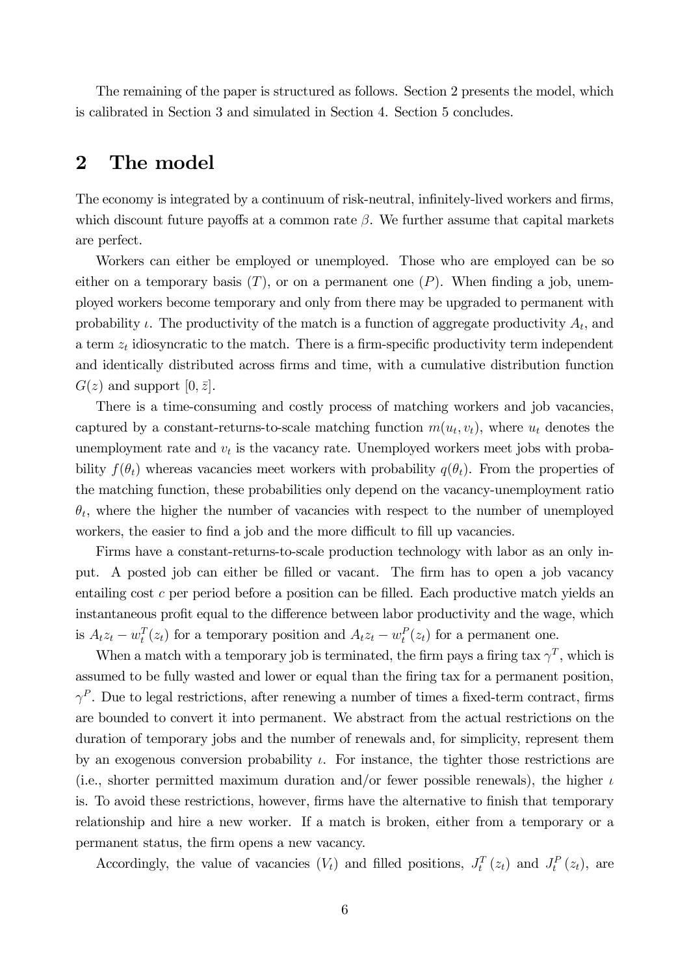The remaining of the paper is structured as follows. Section 2 presents the model, which is calibrated in Section 3 and simulated in Section 4. Section 5 concludes.

## 2 The model

The economy is integrated by a continuum of risk-neutral, infinitely-lived workers and firms, which discount future payoffs at a common rate  $\beta$ . We further assume that capital markets are perfect.

Workers can either be employed or unemployed. Those who are employed can be so either on a temporary basis  $(T)$ , or on a permanent one  $(P)$ . When finding a job, unemployed workers become temporary and only from there may be upgraded to permanent with probability  $\iota$ . The productivity of the match is a function of aggregate productivity  $A_t$ , and a term  $z_t$  idiosyncratic to the match. There is a firm-specific productivity term independent and identically distributed across firms and time, with a cumulative distribution function  $G(z)$  and support  $[0, \bar{z}]$ .

There is a time-consuming and costly process of matching workers and job vacancies, captured by a constant-returns-to-scale matching function  $m(u_t, v_t)$ , where  $u_t$  denotes the unemployment rate and  $v_t$  is the vacancy rate. Unemployed workers meet jobs with probability  $f(\theta_t)$  whereas vacancies meet workers with probability  $q(\theta_t)$ . From the properties of the matching function, these probabilities only depend on the vacancy-unemployment ratio  $\theta_t$ , where the higher the number of vacancies with respect to the number of unemployed workers, the easier to find a job and the more difficult to fill up vacancies.

Firms have a constant-returns-to-scale production technology with labor as an only input. A posted job can either be filled or vacant. The firm has to open a job vacancy entailing cost c per period before a position can be filled. Each productive match yields an instantaneous profit equal to the difference between labor productivity and the wage, which is  $A_t z_t - w_t^T(z_t)$  for a temporary position and  $A_t z_t - w_t^P(z_t)$  for a permanent one.

When a match with a temporary job is terminated, the firm pays a firing tax  $\gamma^T$ , which is assumed to be fully wasted and lower or equal than the firing tax for a permanent position,  $\gamma^P$ . Due to legal restrictions, after renewing a number of times a fixed-term contract, firms are bounded to convert it into permanent. We abstract from the actual restrictions on the duration of temporary jobs and the number of renewals and, for simplicity, represent them by an exogenous conversion probability  $\iota$ . For instance, the tighter those restrictions are (i.e., shorter permitted maximum duration and/or fewer possible renewals), the higher  $\iota$ is. To avoid these restrictions, however, firms have the alternative to finish that temporary relationship and hire a new worker. If a match is broken, either from a temporary or a permanent status, the firm opens a new vacancy.

Accordingly, the value of vacancies  $(V_t)$  and filled positions,  $J_t^T(z_t)$  and  $J_t^P(z_t)$ , are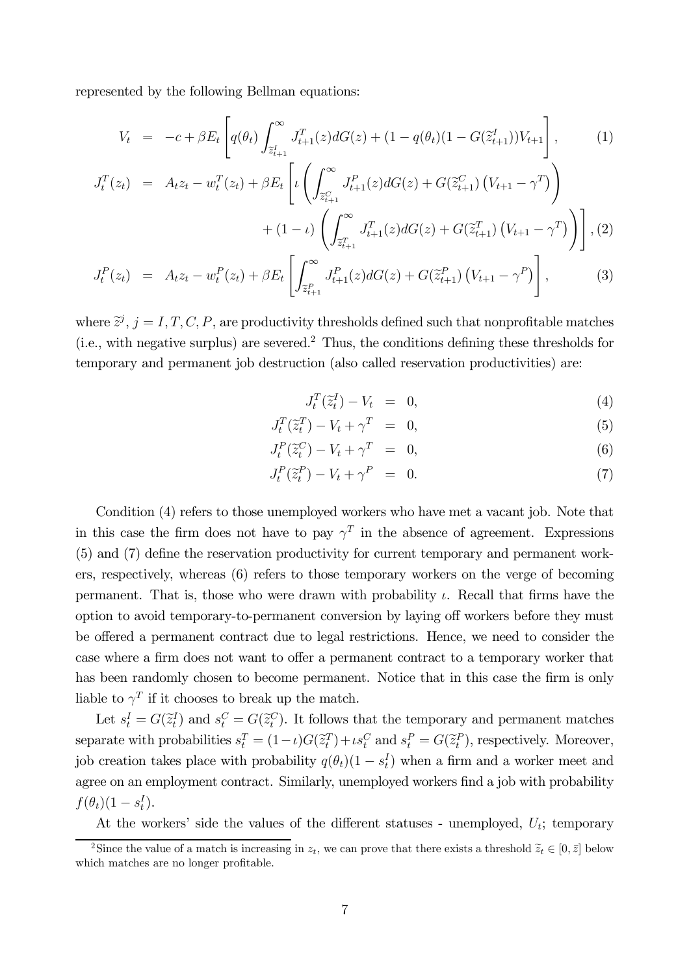represented by the following Bellman equations:

$$
V_t = -c + \beta E_t \left[ q(\theta_t) \int_{\tilde{z}_{t+1}^I}^{\infty} J_{t+1}^T(z) dG(z) + (1 - q(\theta_t)(1 - G(\tilde{z}_{t+1}^I)) V_{t+1} \right],
$$
 (1)

$$
J_t^T(z_t) = A_t z_t - w_t^T(z_t) + \beta E_t \left[ \iota \left( \int_{\tilde{z}_{t+1}^C}^{\infty} J_{t+1}^P(z) dG(z) + G(\tilde{z}_{t+1}^C) \left( V_{t+1} - \gamma^T \right) \right) + (1 - \iota) \left( \int_{\tilde{z}_{t+1}^T}^{\infty} J_{t+1}^T(z) dG(z) + G(\tilde{z}_{t+1}^T) \left( V_{t+1} - \gamma^T \right) \right) \right], (2)
$$
  

$$
J_t^P(z_t) = A_t z_t - w_t^P(z_t) + \beta E_t \left[ \int_{\tilde{z}_{t+1}^P}^{\infty} J_{t+1}^P(z) dG(z) + G(\tilde{z}_{t+1}^P) \left( V_{t+1} - \gamma^P \right) \right],
$$

where  $\tilde{z}^j$ ,  $j = I, T, C, P$ , are productivity thresholds defined such that nonprofitable matches (i.e., with negative surplus) are severed.<sup>2</sup> Thus, the conditions defining these thresholds for temporary and permanent job destruction (also called reservation productivities) are:

$$
J_t^T(\tilde{z}_t^I) - V_t = 0,\t\t(4)
$$

$$
J_t^T(\tilde{z}_t^T) - V_t + \gamma^T = 0,
$$
\n<sup>(5)</sup>

$$
J_t^P(\tilde{z}_t^C) - V_t + \gamma^T = 0,
$$
\n<sup>(6)</sup>

$$
J_t^P(\tilde{z}_t^P) - V_t + \gamma^P = 0. \tag{7}
$$

Condition (4) refers to those unemployed workers who have met a vacant job. Note that in this case the firm does not have to pay  $\gamma^T$  in the absence of agreement. Expressions (5) and (7) define the reservation productivity for current temporary and permanent workers, respectively, whereas (6) refers to those temporary workers on the verge of becoming permanent. That is, those who were drawn with probability  $\iota$ . Recall that firms have the option to avoid temporary-to-permanent conversion by laying off workers before they must be offered a permanent contract due to legal restrictions. Hence, we need to consider the case where a firm does not want to offer a permanent contract to a temporary worker that has been randomly chosen to become permanent. Notice that in this case the firm is only liable to  $\gamma^T$  if it chooses to break up the match.

Let  $s_t^I = G(\tilde{z}_t^I)$  and  $s_t^C = G(\tilde{z}_t^C)$ . It follows that the temporary and permanent matches separate with probabilities  $s_t^T = (1 - \iota)G(\tilde{z}_t^T) + \iota s_t^C$  and  $s_t^P = G(\tilde{z}_t^P)$ , respectively. Moreover, job creation takes place with probability  $q(\theta_t)(1 - s_t^I)$  when a firm and a worker meet and agree on an employment contract. Similarly, unemployed workers find a job with probability  $f(\theta_t)(1-s_t^I).$ 

At the workers' side the values of the different statuses - unemployed,  $U_t$ ; temporary

<sup>&</sup>lt;sup>2</sup>Since the value of a match is increasing in  $z_t$ , we can prove that there exists a threshold  $\tilde{z}_t \in [0, \bar{z}]$  below which matches are no longer profitable.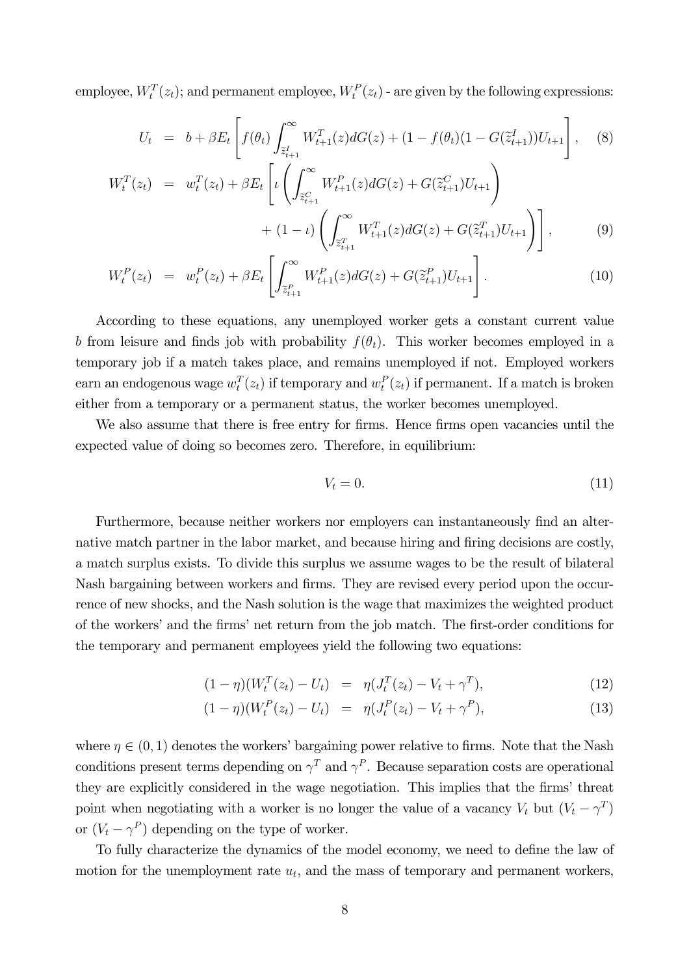employee,  $W_t^T(z_t)$ ; and permanent employee,  $W_t^P(z_t)$  - are given by the following expressions:

$$
U_t = b + \beta E_t \left[ f(\theta_t) \int_{\tilde{z}_{t+1}^I}^{\infty} W_{t+1}^T(z) dG(z) + (1 - f(\theta_t)(1 - G(\tilde{z}_{t+1}^I)) U_{t+1} \right], \quad (8)
$$

$$
W_t^T(z_t) = w_t^T(z_t) + \beta E_t \left[ \iota \left( \int_{\tilde{z}_{t+1}^C}^{\infty} W_{t+1}^P(z) dG(z) + G(\tilde{z}_{t+1}^C) U_{t+1} \right) + (1 - \iota) \left( \int_{\tilde{z}_{t+1}^T}^{\infty} W_{t+1}^T(z) dG(z) + G(\tilde{z}_{t+1}^T) U_{t+1} \right) \right],
$$
\n(9)

$$
W_t^P(z_t) = w_t^P(z_t) + \beta E_t \left[ \int_{\tilde{z}_{t+1}^P}^{\infty} W_{t+1}^P(z) dG(z) + G(\tilde{z}_{t+1}^P) U_{t+1} \right]. \tag{10}
$$

According to these equations, any unemployed worker gets a constant current value b from leisure and finds job with probability  $f(\theta_t)$ . This worker becomes employed in a temporary job if a match takes place, and remains unemployed if not. Employed workers earn an endogenous wage  $w_t^T(z_t)$  if temporary and  $w_t^P(z_t)$  if permanent. If a match is broken either from a temporary or a permanent status, the worker becomes unemployed.

We also assume that there is free entry for firms. Hence firms open vacancies until the expected value of doing so becomes zero. Therefore, in equilibrium:

$$
V_t = 0.\t\t(11)
$$

Furthermore, because neither workers nor employers can instantaneously find an alternative match partner in the labor market, and because hiring and firing decisions are costly, a match surplus exists. To divide this surplus we assume wages to be the result of bilateral Nash bargaining between workers and firms. They are revised every period upon the occurrence of new shocks, and the Nash solution is the wage that maximizes the weighted product of the workers' and the firms' net return from the job match. The first-order conditions for the temporary and permanent employees yield the following two equations:

$$
(1 - \eta)(W_t^T(z_t) - U_t) = \eta(J_t^T(z_t) - V_t + \gamma^T), \tag{12}
$$

$$
(1 - \eta)(W_t^P(z_t) - U_t) = \eta(J_t^P(z_t) - V_t + \gamma^P), \tag{13}
$$

where  $\eta \in (0,1)$  denotes the workers' bargaining power relative to firms. Note that the Nash conditions present terms depending on  $\gamma^T$  and  $\gamma^P$ . Because separation costs are operational they are explicitly considered in the wage negotiation. This implies that the firms' threat point when negotiating with a worker is no longer the value of a vacancy  $V_t$  but  $(V_t - \gamma^T)$ or  $(V_t - \gamma^P)$  depending on the type of worker.

To fully characterize the dynamics of the model economy, we need to define the law of motion for the unemployment rate  $u_t$ , and the mass of temporary and permanent workers,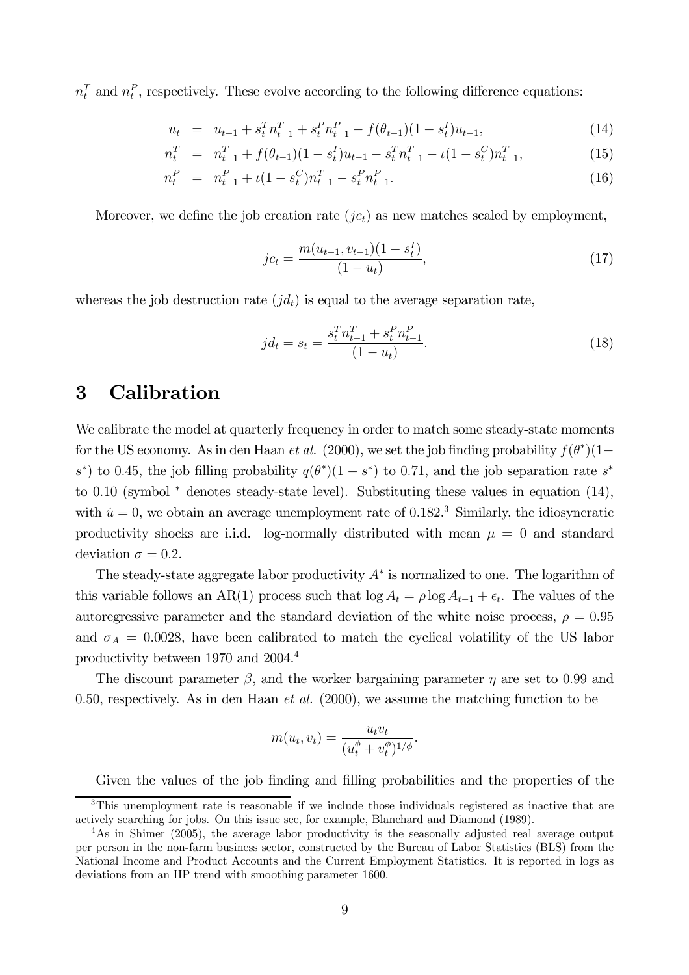$n_t^T$  and  $n_t^P$ , respectively. These evolve according to the following difference equations:

$$
u_t = u_{t-1} + s_t^T n_{t-1}^T + s_t^P n_{t-1}^P - f(\theta_{t-1})(1 - s_t^I) u_{t-1},
$$
\n(14)

$$
n_t^T = n_{t-1}^T + f(\theta_{t-1})(1 - s_t^T)u_{t-1} - s_t^T n_{t-1}^T - \iota(1 - s_t^C) n_{t-1}^T,
$$
\n(15)

$$
n_t^P = n_{t-1}^P + \iota(1 - s_t^C)n_{t-1}^T - s_t^P n_{t-1}^P.
$$
\n(16)

Moreover, we define the job creation rate  $(jc_t)$  as new matches scaled by employment,

$$
jc_t = \frac{m(u_{t-1}, v_{t-1})(1 - s_t^I)}{(1 - u_t)},
$$
\n(17)

whereas the job destruction rate  $(jd_t)$  is equal to the average separation rate,

$$
jd_t = s_t = \frac{s_t^T n_{t-1}^T + s_t^P n_{t-1}^P}{(1 - u_t)}.
$$
\n(18)

## 3 Calibration

We calibrate the model at quarterly frequency in order to match some steady-state moments for the US economy. As in den Haan *et al.* (2000), we set the job finding probability  $f(\theta^*)(1$ s<sup>\*</sup>) to 0.45, the job filling probability  $q(\theta^*)(1 - s^*)$  to 0.71, and the job separation rate  $s^*$ to 0.10 (symbol <sup>\*</sup> denotes steady-state level). Substituting these values in equation (14), with  $\dot{u} = 0$ , we obtain an average unemployment rate of 0.182.<sup>3</sup> Similarly, the idiosyncratic productivity shocks are i.i.d. log-normally distributed with mean  $\mu = 0$  and standard deviation  $\sigma = 0.2$ .

The steady-state aggregate labor productivity  $A^*$  is normalized to one. The logarithm of this variable follows an AR(1) process such that  $\log A_t = \rho \log A_{t-1} + \epsilon_t$ . The values of the autoregressive parameter and the standard deviation of the white noise process,  $\rho = 0.95$ and  $\sigma_A = 0.0028$ , have been calibrated to match the cyclical volatility of the US labor productivity between 1970 and 2004.4

The discount parameter  $\beta$ , and the worker bargaining parameter  $\eta$  are set to 0.99 and 0.50, respectively. As in den Haan *et al.* (2000), we assume the matching function to be

$$
m(u_t, v_t) = \frac{u_t v_t}{(u_t^{\phi} + v_t^{\phi})^{1/\phi}}.
$$

Given the values of the job finding and filling probabilities and the properties of the

<sup>&</sup>lt;sup>3</sup>This unemployment rate is reasonable if we include those individuals registered as inactive that are actively searching for jobs. On this issue see, for example, Blanchard and Diamond (1989).

<sup>&</sup>lt;sup>4</sup>As in Shimer (2005), the average labor productivity is the seasonally adjusted real average output per person in the non-farm business sector, constructed by the Bureau of Labor Statistics (BLS) from the National Income and Product Accounts and the Current Employment Statistics. It is reported in logs as deviations from an HP trend with smoothing parameter 1600.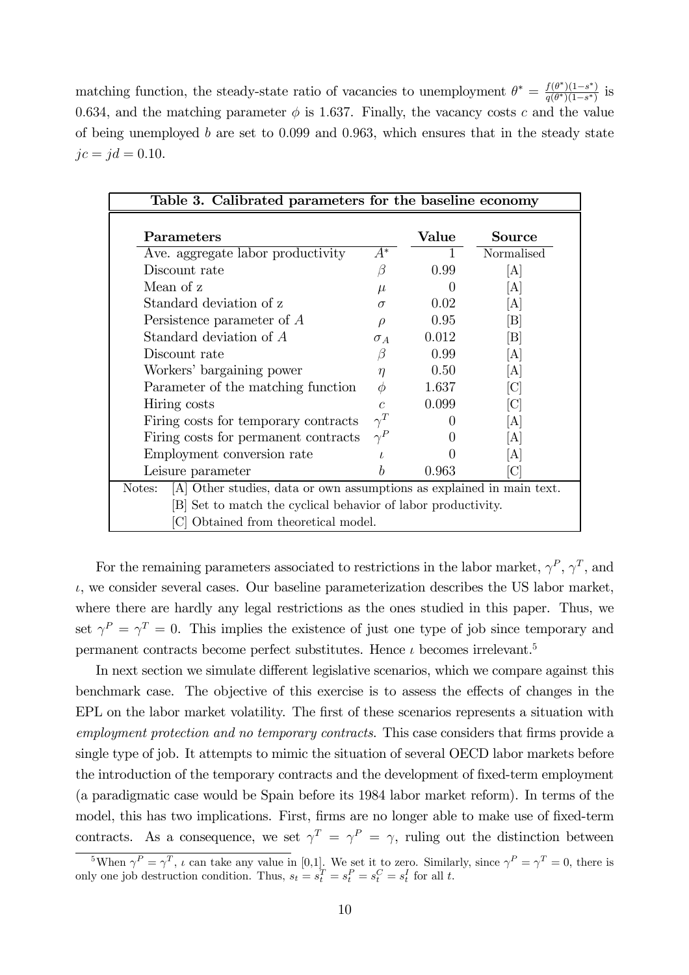matching function, the steady-state ratio of vacancies to unemployment  $\theta^* = \frac{f(\theta^*)(1-s^*)}{q(\theta^*)(1-s^*)}$  is 0.634, and the matching parameter  $\phi$  is 1.637. Finally, the vacancy costs c and the value of being unemployed b are set to  $0.099$  and  $0.963$ , which ensures that in the steady state  $jc = jd = 0.10$ .

| Table 3. Calibrated parameters for the baseline economy                         |            |                  |                             |  |
|---------------------------------------------------------------------------------|------------|------------------|-----------------------------|--|
| Parameters                                                                      |            | Value            | Source                      |  |
| Ave. aggregate labor productivity                                               | $A^*$      |                  | Normalised                  |  |
| Discount rate                                                                   | B          | 0.99             | [A]                         |  |
| Mean of z                                                                       | $\mu$      | $\left( \right)$ | [A]                         |  |
| Standard deviation of z                                                         | $\sigma$   | 0.02             | [A]                         |  |
| Persistence parameter of $A$                                                    | $\varrho$  | 0.95             | $\left[\rm B\right]$        |  |
| Standard deviation of A                                                         | $\sigma_A$ | 0.012            | $\mathbb{B}$                |  |
| Discount rate                                                                   |            | 0.99             | [A]                         |  |
| Workers' bargaining power                                                       | $\eta$     | 0.50             | [A]                         |  |
| Parameter of the matching function                                              |            | 1.637            | $\left[ \mathrm{C} \right]$ |  |
| Hiring costs                                                                    |            | 0.099            | ICI                         |  |
| Firing costs for temporary contracts                                            |            |                  | A                           |  |
| Firing costs for permanent contracts                                            |            | 0                | [A]                         |  |
| Employment conversion rate                                                      |            |                  | [A]                         |  |
| Leisure parameter                                                               |            | 0.963            | $[\mathrm{C}]$              |  |
| [A] Other studies, data or own assumptions as explained in main text.<br>Notes: |            |                  |                             |  |
| [B] Set to match the cyclical behavior of labor productivity.                   |            |                  |                             |  |
| [C] Obtained from theoretical model.                                            |            |                  |                             |  |

For the remaining parameters associated to restrictions in the labor market,  $\gamma^P$ ,  $\gamma^T$ , and  $\iota$ , we consider several cases. Our baseline parameterization describes the US labor market, where there are hardly any legal restrictions as the ones studied in this paper. Thus, we set  $\gamma^P = \gamma^T = 0$ . This implies the existence of just one type of job since temporary and permanent contracts become perfect substitutes. Hence  $\iota$  becomes irrelevant.<sup>5</sup>

In next section we simulate different legislative scenarios, which we compare against this benchmark case. The objective of this exercise is to assess the effects of changes in the EPL on the labor market volatility. The first of these scenarios represents a situation with employment protection and no temporary contracts. This case considers that firms provide a single type of job. It attempts to mimic the situation of several OECD labor markets before the introduction of the temporary contracts and the development of fixed-term employment (a paradigmatic case would be Spain before its 1984 labor market reform). In terms of the model, this has two implications. First, firms are no longer able to make use of fixed-term contracts. As a consequence, we set  $\gamma^T = \gamma^P = \gamma$ , ruling out the distinction between

<sup>&</sup>lt;sup>5</sup>When  $\gamma^P = \gamma^T$ , *i* can take any value in [0,1]. We set it to zero. Similarly, since  $\gamma^P = \gamma^T = 0$ , there is only one job destruction condition. Thus,  $s_t = s_t^T = s_t^P = s_t^C = s_t^I$  for all t.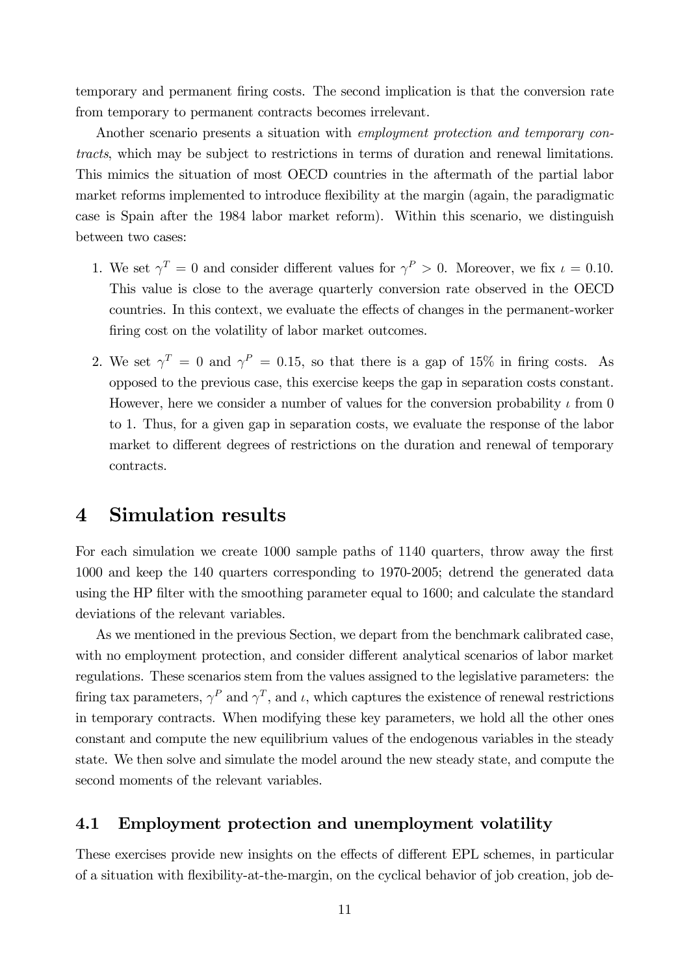temporary and permanent firing costs. The second implication is that the conversion rate from temporary to permanent contracts becomes irrelevant.

Another scenario presents a situation with employment protection and temporary contracts, which may be subject to restrictions in terms of duration and renewal limitations. This mimics the situation of most OECD countries in the aftermath of the partial labor market reforms implemented to introduce flexibility at the margin (again, the paradigmatic case is Spain after the 1984 labor market reform). Within this scenario, we distinguish between two cases:

- 1. We set  $\gamma^T = 0$  and consider different values for  $\gamma^P > 0$ . Moreover, we fix  $\iota = 0.10$ . This value is close to the average quarterly conversion rate observed in the OECD countries. In this context, we evaluate the effects of changes in the permanent-worker firing cost on the volatility of labor market outcomes.
- 2. We set  $\gamma^T = 0$  and  $\gamma^P = 0.15$ , so that there is a gap of 15% in firing costs. As opposed to the previous case, this exercise keeps the gap in separation costs constant. However, here we consider a number of values for the conversion probability  $\iota$  from 0 to 1. Thus, for a given gap in separation costs, we evaluate the response of the labor market to different degrees of restrictions on the duration and renewal of temporary contracts.

### 4 Simulation results

For each simulation we create 1000 sample paths of 1140 quarters, throw away the first 1000 and keep the 140 quarters corresponding to 1970-2005; detrend the generated data using the HP filter with the smoothing parameter equal to 1600; and calculate the standard deviations of the relevant variables.

As we mentioned in the previous Section, we depart from the benchmark calibrated case, with no employment protection, and consider different analytical scenarios of labor market regulations. These scenarios stem from the values assigned to the legislative parameters: the firing tax parameters,  $\gamma^P$  and  $\gamma^T$ , and  $\iota$ , which captures the existence of renewal restrictions in temporary contracts. When modifying these key parameters, we hold all the other ones constant and compute the new equilibrium values of the endogenous variables in the steady state. We then solve and simulate the model around the new steady state, and compute the second moments of the relevant variables.

#### 4.1 Employment protection and unemployment volatility

These exercises provide new insights on the effects of different EPL schemes, in particular of a situation with flexibility-at-the-margin, on the cyclical behavior of job creation, job de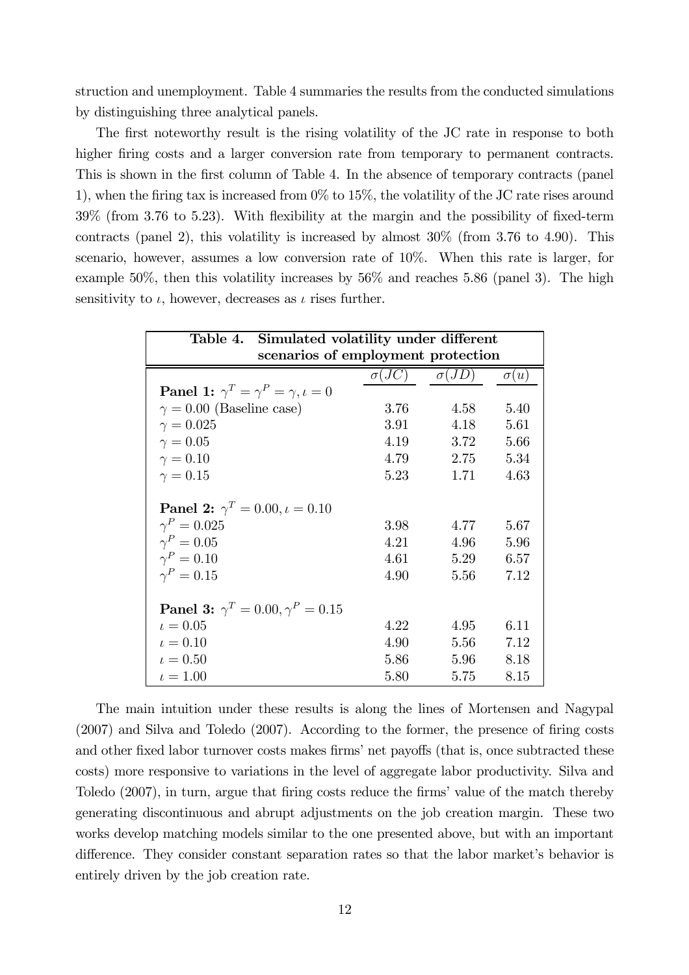struction and unemployment. Table 4 summaries the results from the conducted simulations by distinguishing three analytical panels.

The first noteworthy result is the rising volatility of the JC rate in response to both higher firing costs and a larger conversion rate from temporary to permanent contracts. This is shown in the first column of Table 4. In the absence of temporary contracts (panel 1), when the firing tax is increased from 0% to 15%, the volatility of the JC rate rises around 39% (from 3.76 to 5.23). With flexibility at the margin and the possibility of fixed-term contracts (panel 2), this volatility is increased by almost  $30\%$  (from  $3.76$  to  $4.90$ ). This scenario, however, assumes a low conversion rate of 10%. When this rate is larger, for example 50%, then this volatility increases by  $56\%$  and reaches 5.86 (panel 3). The high sensitivity to  $\iota$ , however, decreases as  $\iota$  rises further.

| Table 4. Simulated volatility under different             |              |                                |              |  |  |
|-----------------------------------------------------------|--------------|--------------------------------|--------------|--|--|
| scenarios of employment protection                        |              |                                |              |  |  |
|                                                           |              | $\sigma(JC) \qquad \sigma(JD)$ | $\sigma(u)$  |  |  |
| <b>Panel 1:</b> $\gamma^T = \gamma^P = \gamma, \iota = 0$ |              |                                |              |  |  |
| $\gamma = 0.00$ (Baseline case)                           | 3.76         | 4.58                           | 5.40         |  |  |
| $\gamma = 0.025$                                          | 3.91         | 4.18                           | 5.61         |  |  |
| $\gamma = 0.05$                                           | 4.19         | 3.72                           | 5.66         |  |  |
| $\gamma = 0.10$                                           | 4.79         | 2.75                           | 5.34         |  |  |
| $\gamma = 0.15$                                           | 5.23         | 1.71                           | 4.63         |  |  |
| <b>Panel 2:</b> $\gamma^T = 0.00, \iota = 0.10$           |              |                                |              |  |  |
| $\gamma^P = 0.025$<br>$\gamma^P=0.05$                     | 3.98         | 4.77                           | 5.67         |  |  |
| $\gamma^P=0.10$                                           | 4.21<br>4.61 | 4.96<br>5.29                   | 5.96<br>6.57 |  |  |
| $\gamma^P=0.15$                                           | 4.90         | 5.56                           | 7.12         |  |  |
| <b>Panel 3:</b> $\gamma^T = 0.00, \gamma^P = 0.15$        |              |                                |              |  |  |
| $\iota = 0.05$                                            | 4.22         | 4.95                           | 6.11         |  |  |
| $\iota = 0.10$                                            | 4.90         | 5.56                           | 7.12         |  |  |
| $t = 0.50$                                                | 5.86         | 5.96                           | 8.18         |  |  |
| $\iota = 1.00$                                            | 5.80         | 5.75                           | 8.15         |  |  |

The main intuition under these results is along the lines of Mortensen and Nagypal (2007) and Silva and Toledo (2007). According to the former, the presence of firing costs and other fixed labor turnover costs makes firms' net payoffs (that is, once subtracted these costs) more responsive to variations in the level of aggregate labor productivity. Silva and Toledo (2007), in turn, argue that firing costs reduce the firms' value of the match thereby generating discontinuous and abrupt adjustments on the job creation margin. These two works develop matching models similar to the one presented above, but with an important difference. They consider constant separation rates so that the labor market's behavior is entirely driven by the job creation rate.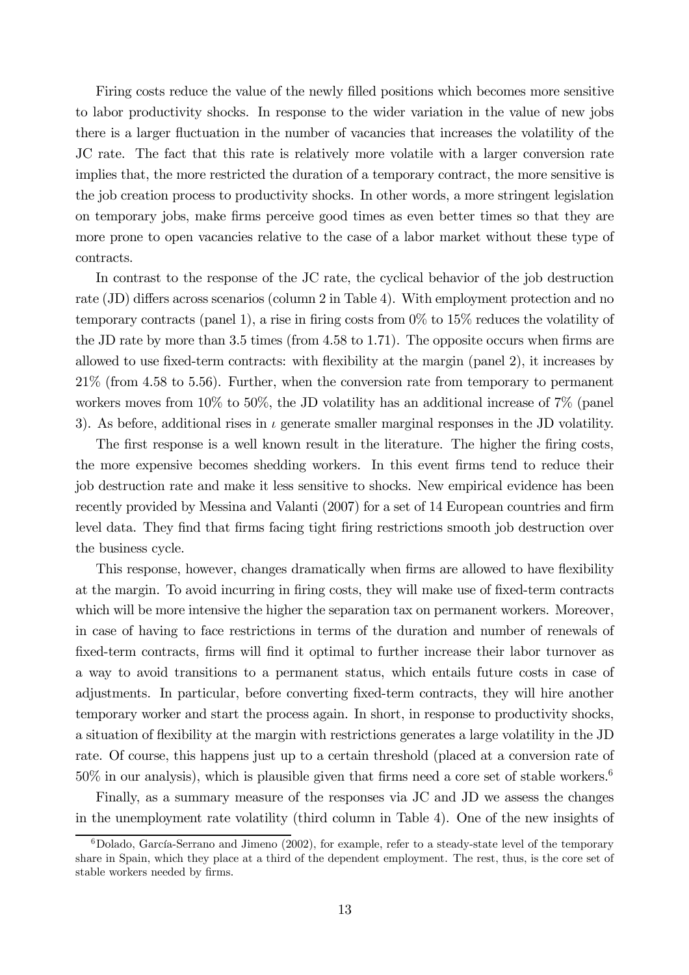Firing costs reduce the value of the newly filled positions which becomes more sensitive to labor productivity shocks. In response to the wider variation in the value of new jobs there is a larger fluctuation in the number of vacancies that increases the volatility of the JC rate. The fact that this rate is relatively more volatile with a larger conversion rate implies that, the more restricted the duration of a temporary contract, the more sensitive is the job creation process to productivity shocks. In other words, a more stringent legislation on temporary jobs, make firms perceive good times as even better times so that they are more prone to open vacancies relative to the case of a labor market without these type of contracts.

In contrast to the response of the JC rate, the cyclical behavior of the job destruction rate (JD) differs across scenarios (column 2 in Table 4). With employment protection and no temporary contracts (panel 1), a rise in firing costs from 0% to 15% reduces the volatility of the JD rate by more than 3.5 times (from 4.58 to 1.71). The opposite occurs when firms are allowed to use fixed-term contracts: with flexibility at the margin (panel 2), it increases by 21% (from 4.58 to 5.56). Further, when the conversion rate from temporary to permanent workers moves from 10% to 50%, the JD volatility has an additional increase of 7% (panel 3). As before, additional rises in  $\iota$  generate smaller marginal responses in the JD volatility.

The first response is a well known result in the literature. The higher the firing costs, the more expensive becomes shedding workers. In this event firms tend to reduce their job destruction rate and make it less sensitive to shocks. New empirical evidence has been recently provided by Messina and Valanti (2007) for a set of 14 European countries and firm level data. They find that firms facing tight firing restrictions smooth job destruction over the business cycle.

This response, however, changes dramatically when firms are allowed to have flexibility at the margin. To avoid incurring in firing costs, they will make use of fixed-term contracts which will be more intensive the higher the separation tax on permanent workers. Moreover, in case of having to face restrictions in terms of the duration and number of renewals of fixed-term contracts, firms will find it optimal to further increase their labor turnover as a way to avoid transitions to a permanent status, which entails future costs in case of adjustments. In particular, before converting fixed-term contracts, they will hire another temporary worker and start the process again. In short, in response to productivity shocks, a situation of flexibility at the margin with restrictions generates a large volatility in the JD rate. Of course, this happens just up to a certain threshold (placed at a conversion rate of  $50\%$  in our analysis), which is plausible given that firms need a core set of stable workers.<sup>6</sup>

Finally, as a summary measure of the responses via JC and JD we assess the changes in the unemployment rate volatility (third column in Table 4). One of the new insights of

 $6Dolado, García-Serrano and Jimeno (2002), for example, refer to a steady-state level of the temporary$ share in Spain, which they place at a third of the dependent employment. The rest, thus, is the core set of stable workers needed by firms.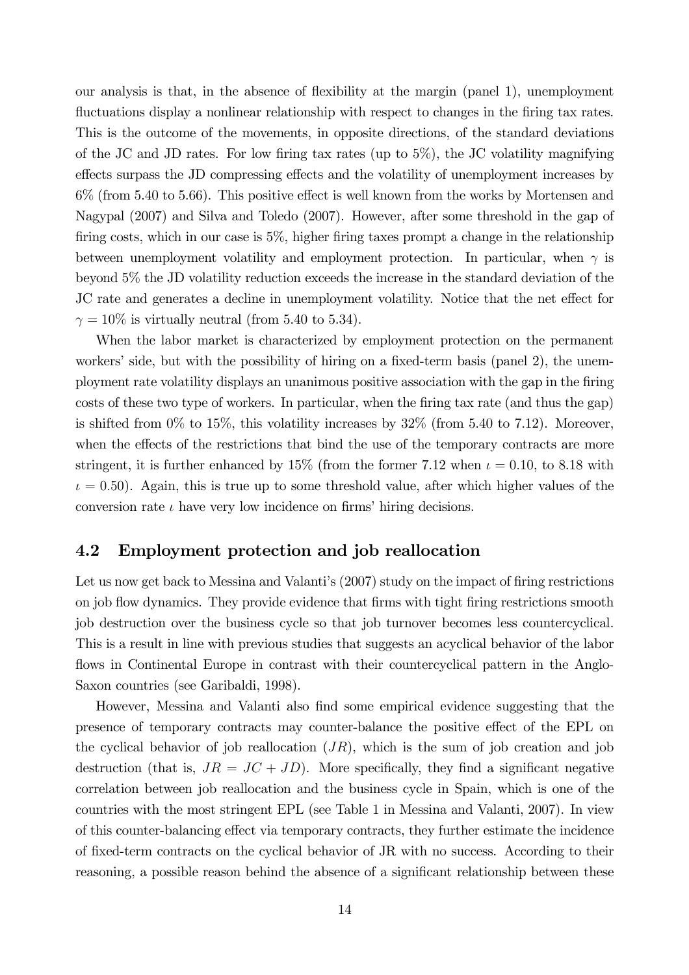our analysis is that, in the absence of flexibility at the margin (panel 1), unemployment fluctuations display a nonlinear relationship with respect to changes in the firing tax rates. This is the outcome of the movements, in opposite directions, of the standard deviations of the JC and JD rates. For low firing tax rates (up to 5%), the JC volatility magnifying effects surpass the JD compressing effects and the volatility of unemployment increases by 6% (from 5.40 to 5.66). This positive effect is well known from the works by Mortensen and Nagypal (2007) and Silva and Toledo (2007). However, after some threshold in the gap of firing costs, which in our case is 5%, higher firing taxes prompt a change in the relationship between unemployment volatility and employment protection. In particular, when  $\gamma$  is beyond 5% the JD volatility reduction exceeds the increase in the standard deviation of the JC rate and generates a decline in unemployment volatility. Notice that the net effect for  $\gamma = 10\%$  is virtually neutral (from 5.40 to 5.34).

When the labor market is characterized by employment protection on the permanent workers' side, but with the possibility of hiring on a fixed-term basis (panel 2), the unemployment rate volatility displays an unanimous positive association with the gap in the firing costs of these two type of workers. In particular, when the firing tax rate (and thus the gap) is shifted from  $0\%$  to  $15\%$ , this volatility increases by  $32\%$  (from 5.40 to 7.12). Moreover, when the effects of the restrictions that bind the use of the temporary contracts are more stringent, it is further enhanced by 15% (from the former 7.12 when  $\iota = 0.10$ , to 8.18 with  $\iota = 0.50$ . Again, this is true up to some threshold value, after which higher values of the conversion rate  $\iota$  have very low incidence on firms' hiring decisions.

#### 4.2 Employment protection and job reallocation

Let us now get back to Messina and Valanti's  $(2007)$  study on the impact of firing restrictions on job flow dynamics. They provide evidence that firms with tight firing restrictions smooth job destruction over the business cycle so that job turnover becomes less countercyclical. This is a result in line with previous studies that suggests an acyclical behavior of the labor flows in Continental Europe in contrast with their countercyclical pattern in the Anglo-Saxon countries (see Garibaldi, 1998).

However, Messina and Valanti also find some empirical evidence suggesting that the presence of temporary contracts may counter-balance the positive effect of the EPL on the cyclical behavior of job reallocation  $(JR)$ , which is the sum of job creation and job destruction (that is,  $JR = JC + JD)$ . More specifically, they find a significant negative correlation between job reallocation and the business cycle in Spain, which is one of the countries with the most stringent EPL (see Table 1 in Messina and Valanti, 2007). In view of this counter-balancing effect via temporary contracts, they further estimate the incidence of fixed-term contracts on the cyclical behavior of JR with no success. According to their reasoning, a possible reason behind the absence of a significant relationship between these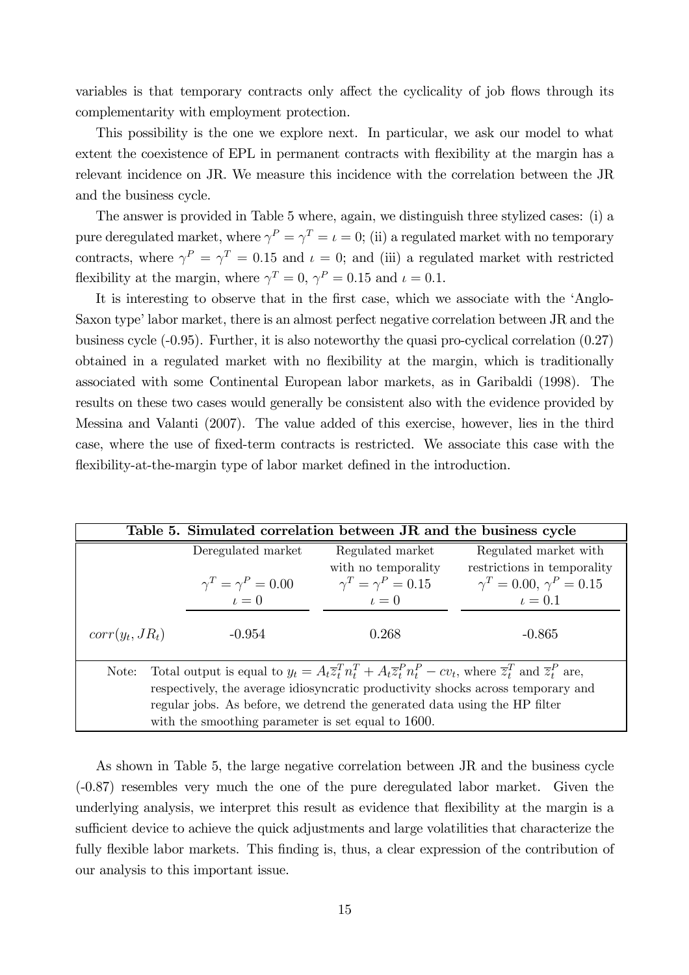variables is that temporary contracts only affect the cyclicality of job flows through its complementarity with employment protection.

This possibility is the one we explore next. In particular, we ask our model to what extent the coexistence of EPL in permanent contracts with flexibility at the margin has a relevant incidence on JR. We measure this incidence with the correlation between the JR and the business cycle.

The answer is provided in Table 5 where, again, we distinguish three stylized cases: (i) a pure deregulated market, where  $\gamma^P = \gamma^T = \iota = 0$ ; (ii) a regulated market with no temporary contracts, where  $\gamma^P = \gamma^T = 0.15$  and  $\iota = 0$ ; and (iii) a regulated market with restricted flexibility at the margin, where  $\gamma^T = 0$ ,  $\gamma^P = 0.15$  and  $\iota = 0.1$ .

It is interesting to observe that in the first case, which we associate with the 'Anglo-Saxon type' labor market, there is an almost perfect negative correlation between JR and the business cycle (-0.95). Further, it is also noteworthy the quasi pro-cyclical correlation (0.27) obtained in a regulated market with no flexibility at the margin, which is traditionally associated with some Continental European labor markets, as in Garibaldi (1998). The results on these two cases would generally be consistent also with the evidence provided by Messina and Valanti (2007). The value added of this exercise, however, lies in the third case, where the use of fixed-term contracts is restricted. We associate this case with the flexibility-at-the-margin type of labor market defined in the introduction.

| Table 5. Simulated correlation between JR and the business cycle                                                                                                |                              |                              |                                    |  |  |
|-----------------------------------------------------------------------------------------------------------------------------------------------------------------|------------------------------|------------------------------|------------------------------------|--|--|
|                                                                                                                                                                 | Deregulated market           | Regulated market             | Regulated market with              |  |  |
|                                                                                                                                                                 |                              | with no temporality          | restrictions in temporality        |  |  |
|                                                                                                                                                                 | $\gamma^T = \gamma^P = 0.00$ | $\gamma^T = \gamma^P = 0.15$ | $\gamma^T = 0.00, \gamma^P = 0.15$ |  |  |
|                                                                                                                                                                 | $\iota=0$                    | $\iota=0$                    | $\iota=0.1$                        |  |  |
| $corr(y_t, JR_t)$                                                                                                                                               | $-0.954$                     | 0.268                        | $-0.865$                           |  |  |
| Total output is equal to $y_t = A_t \overline{z}_t^T n_t^T + A_t \overline{z}_t^P n_t^P - cv_t$ , where $\overline{z}_t^T$ and $\overline{z}_t^P$ are,<br>Note: |                              |                              |                                    |  |  |
| respectively, the average idiosyncratic productivity shocks across temporary and                                                                                |                              |                              |                                    |  |  |
| regular jobs. As before, we detrend the generated data using the HP filter                                                                                      |                              |                              |                                    |  |  |
| with the smoothing parameter is set equal to 1600.                                                                                                              |                              |                              |                                    |  |  |

As shown in Table 5, the large negative correlation between JR and the business cycle (-0.87) resembles very much the one of the pure deregulated labor market. Given the underlying analysis, we interpret this result as evidence that flexibility at the margin is a sufficient device to achieve the quick adjustments and large volatilities that characterize the fully flexible labor markets. This finding is, thus, a clear expression of the contribution of our analysis to this important issue.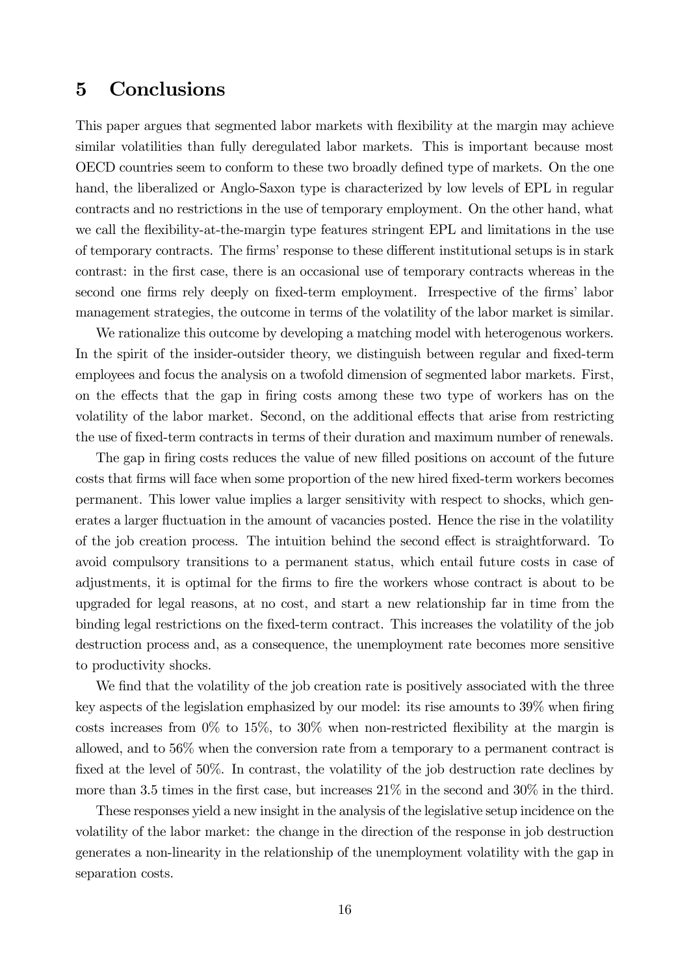## 5 Conclusions

This paper argues that segmented labor markets with flexibility at the margin may achieve similar volatilities than fully deregulated labor markets. This is important because most OECD countries seem to conform to these two broadly defined type of markets. On the one hand, the liberalized or Anglo-Saxon type is characterized by low levels of EPL in regular contracts and no restrictions in the use of temporary employment. On the other hand, what we call the flexibility-at-the-margin type features stringent EPL and limitations in the use of temporary contracts. The firms' response to these different institutional setups is in stark contrast: in the first case, there is an occasional use of temporary contracts whereas in the second one firms rely deeply on fixed-term employment. Irrespective of the firms' labor management strategies, the outcome in terms of the volatility of the labor market is similar.

We rationalize this outcome by developing a matching model with heterogenous workers. In the spirit of the insider-outsider theory, we distinguish between regular and fixed-term employees and focus the analysis on a twofold dimension of segmented labor markets. First, on the effects that the gap in firing costs among these two type of workers has on the volatility of the labor market. Second, on the additional effects that arise from restricting the use of fixed-term contracts in terms of their duration and maximum number of renewals.

The gap in firing costs reduces the value of new filled positions on account of the future costs that firms will face when some proportion of the new hired fixed-term workers becomes permanent. This lower value implies a larger sensitivity with respect to shocks, which generates a larger fluctuation in the amount of vacancies posted. Hence the rise in the volatility of the job creation process. The intuition behind the second effect is straightforward. To avoid compulsory transitions to a permanent status, which entail future costs in case of adjustments, it is optimal for the firms to fire the workers whose contract is about to be upgraded for legal reasons, at no cost, and start a new relationship far in time from the binding legal restrictions on the fixed-term contract. This increases the volatility of the job destruction process and, as a consequence, the unemployment rate becomes more sensitive to productivity shocks.

We find that the volatility of the job creation rate is positively associated with the three key aspects of the legislation emphasized by our model: its rise amounts to 39% when firing costs increases from  $0\%$  to  $15\%$ , to  $30\%$  when non-restricted flexibility at the margin is allowed, and to 56% when the conversion rate from a temporary to a permanent contract is fixed at the level of 50%. In contrast, the volatility of the job destruction rate declines by more than 3.5 times in the first case, but increases 21% in the second and 30% in the third.

These responses yield a new insight in the analysis of the legislative setup incidence on the volatility of the labor market: the change in the direction of the response in job destruction generates a non-linearity in the relationship of the unemployment volatility with the gap in separation costs.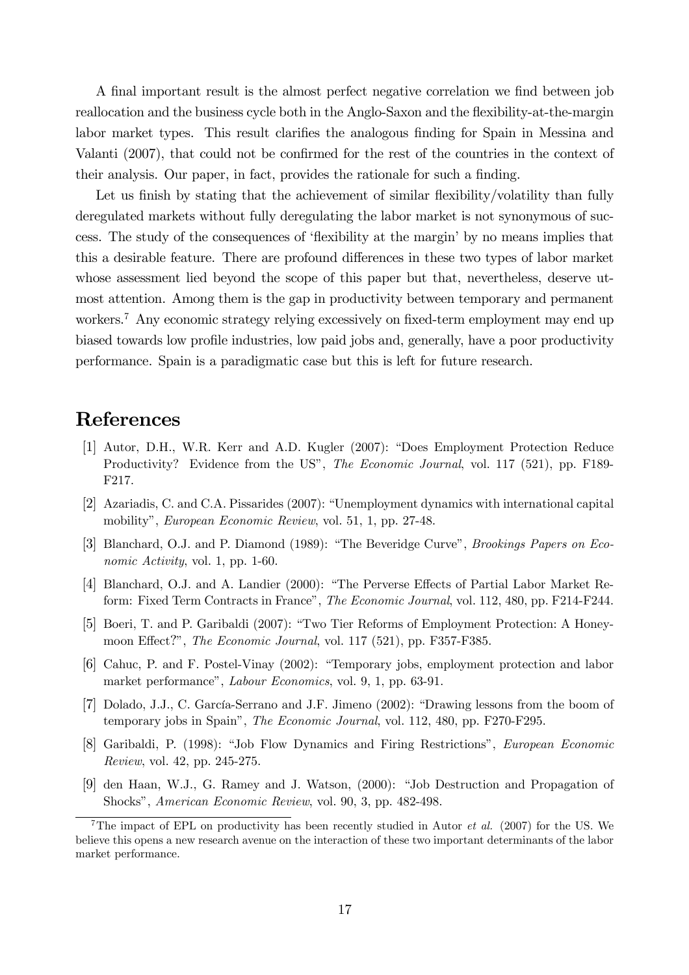A final important result is the almost perfect negative correlation we find between job reallocation and the business cycle both in the Anglo-Saxon and the flexibility-at-the-margin labor market types. This result clarifies the analogous finding for Spain in Messina and Valanti (2007), that could not be confirmed for the rest of the countries in the context of their analysis. Our paper, in fact, provides the rationale for such a finding.

Let us finish by stating that the achievement of similar flexibility/volatility than fully deregulated markets without fully deregulating the labor market is not synonymous of success. The study of the consequences of 'flexibility at the margin' by no means implies that this a desirable feature. There are profound differences in these two types of labor market whose assessment lied beyond the scope of this paper but that, nevertheless, deserve utmost attention. Among them is the gap in productivity between temporary and permanent workers.<sup>7</sup> Any economic strategy relying excessively on fixed-term employment may end up biased towards low profile industries, low paid jobs and, generally, have a poor productivity performance. Spain is a paradigmatic case but this is left for future research.

#### **References**

- [1] Autor, D.H., W.R. Kerr and A.D. Kugler (2007): "Does Employment Protection Reduce Productivity? Evidence from the US", *The Economic Journal*, vol. 117 (521), pp. F189-F217.
- [2] Azariadis, C. and C.A. Pissarides (2007): "Unemployment dynamics with international capital mobility", European Economic Review, vol. 51, 1, pp. 27-48.
- [3] Blanchard, O.J. and P. Diamond (1989): "The Beveridge Curve", Brookings Papers on Economic Activity, vol. 1, pp. 1-60.
- [4] Blanchard, O.J. and A. Landier (2000): "The Perverse Effects of Partial Labor Market Reform: Fixed Term Contracts in France", The Economic Journal, vol. 112, 480, pp. F214-F244.
- [5] Boeri, T. and P. Garibaldi (2007): "Two Tier Reforms of Employment Protection: A Honeymoon Effect?", The Economic Journal, vol. 117 (521), pp. F357-F385.
- [6] Cahuc, P. and F. Postel-Vinay (2002): "Temporary jobs, employment protection and labor market performance", Labour Economics, vol. 9, 1, pp. 63-91.
- [7] Dolado, J.J., C. García-Serrano and J.F. Jimeno (2002): "Drawing lessons from the boom of temporary jobs in Spain", The Economic Journal, vol. 112, 480, pp. F270-F295.
- [8] Garibaldi, P. (1998): "Job Flow Dynamics and Firing Restrictions", European Economic Review, vol. 42, pp. 245-275.
- [9] den Haan, W.J., G. Ramey and J. Watson, (2000): "Job Destruction and Propagation of Shocks", American Economic Review, vol. 90, 3, pp. 482-498.

<sup>&</sup>lt;sup>7</sup>The impact of EPL on productivity has been recently studied in Autor *et al.* (2007) for the US. We believe this opens a new research avenue on the interaction of these two important determinants of the labor market performance.